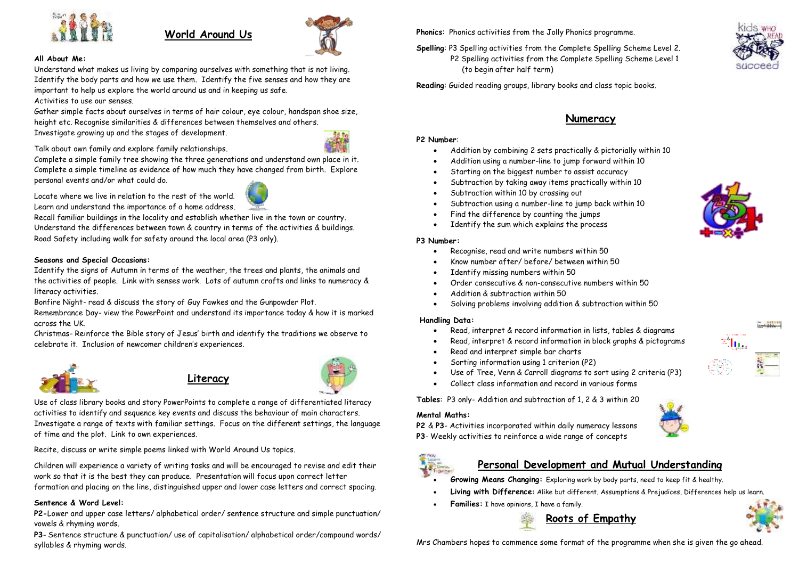

## **World Around Us**



#### **All About Me:**

Understand what makes us living by comparing ourselves with something that is not living. Identify the body parts and how we use them. Identify the five senses and how they are important to help us explore the world around us and in keeping us safe.

#### Activities to use our senses.

Gather simple facts about ourselves in terms of hair colour, eye colour, handspan shoe size, height etc. Recognise similarities & differences between themselves and others.

Investigate growing up and the stages of development.



Talk about own family and explore family relationships.

Complete a simple family tree showing the three generations and understand own place in it. Complete a simple timeline as evidence of how much they have changed from birth. Explore personal events and/or what could do.

Locate where we live in relation to the rest of the world. Learn and understand the importance of a home address.

Recall familiar buildings in the locality and establish whether live in the town or country. Understand the differences between town & country in terms of the activities & buildings. Road Safety including walk for safety around the local area (P3 only).

#### **Seasons and Special Occasions:**

Identify the signs of Autumn in terms of the weather, the trees and plants, the animals and the activities of people. Link with senses work. Lots of autumn crafts and links to numeracy & literacy activities.

Bonfire Night- read & discuss the story of Guy Fawkes and the Gunpowder Plot.

Remembrance Day- view the PowerPoint and understand its importance today & how it is marked across the UK.

Christmas- Reinforce the Bible story of Jesus' birth and identify the traditions we observe to celebrate it. Inclusion of newcomer children's experiences.



# **Literacy**



Us[e of class lib](http://www.slpreppystyle.com/2012/02/lallie-is-reading-what-are-you-doing-to.html)rary books and story PowerPoints to complete a range of differentiated literacy activities to identify and sequence key events and discuss the behaviour of main characters. Investigate a range of texts with familiar settings. Focus on the different settings, the language of time and the plot. Link to own experiences.

Recite, d[iscuss or](https://creativecommons.org/licenses/by-nc-nd/3.0/) write simple poems linked with World Around Us topics.

Ch[ildren wi](https://creativecommons.org/licenses/by-nc-nd/3.0/)ll experience a variety of writing tasks and will be encouraged to revise and edit their work so that it is the best they can produce. Presentation will focus upon correct letter formation and placing on the line, distinguished upper and lower case letters and correct spacing.

#### **Sentence & Word Level:**

**P2-**Lower and upper case letters/ alphabetical order/ sentence structure and simple punctuation/ vowels & rhyming words.

**P3**- Sentence structure & punctuation/ use of capitalisation/ alphabetical order/compound words/ syllables & rhyming words.

**Phonics**: Phonics activities from the Jolly Phonics programme.

**Spelling**: P3 Spelling activities from the Complete Spelling Scheme Level 2. P2 Spelling activities from the Complete Spelling Scheme Level 1 (to begin after half term)



**Reading**: Guided reading groups, library books and class topic books.

## **Numeracy**

#### **P2 Number**:

- Addition by combining 2 sets practically & pictorially within 10
- Addition using a number-line to jump forward within 10
- Starting on the biggest number to assist accuracy
- Subtraction by taking away items practically within 10
- Subtraction within 10 by crossing out
- Subtraction using a number-line to jump back within 10
- Find the difference by counting the jumps
- Identify the sum which explains the process

#### **P3 Number:**

- Recognise, read and write numbers within 50
- Know number after/ before/ between within 50
- Identify missing numbers within 50
- Order consecutive & non-consecutive numbers within 50
- Addition & subtraction within 50
- Solving problems involving addition & subtraction within 50

#### **Handling Data:**

- Read, interpret & record information in lists, tables & diagrams
- Read, interpret & record information in block graphs & pictograms
- Read and interpret simple bar charts
- Sorting information using 1 criterion (P2)
- Use of Tree, Venn & Carroll diagrams to sort using 2 criteria (P3)
- Collect class information and record in various forms

**Tables**: P3 only- Addition and subtraction of 1, 2 & 3 within 20

#### **Mental Maths:**

**P2** & **P3**- Activities incorporated within daily numeracy lessons **P3**- Weekly activities to reinforce a wide range of concepts



## **Personal Development and Mutual Understanding**

- **Growing Means Changing:** Exploring work by body parts, need to keep fit & healthy.
- **Living with Difference:** Alike but different, Assumptions & Prejudices, Differences help us learn.
- **Families:** I have opinions, I have a family.





Mrs Chambers hopes to commence some format of the programme when she is given the go ahead.